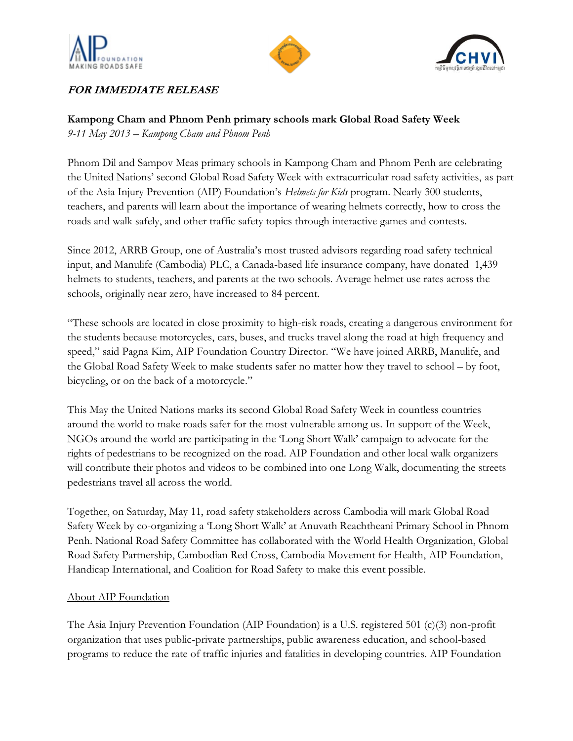





## **FOR IMMEDIATE RELEASE**

## **Kampong Cham and Phnom Penh primary schools mark Global Road Safety Week**

*9-11 May 2013 – Kampong Cham and Phnom Penh*

Phnom Dil and Sampov Meas primary schools in Kampong Cham and Phnom Penh are celebrating the United Nations" second Global Road Safety Week with extracurricular road safety activities, as part of the Asia Injury Prevention (AIP) Foundation"s *Helmets for Kids* program. Nearly 300 students, teachers, and parents will learn about the importance of wearing helmets correctly, how to cross the roads and walk safely, and other traffic safety topics through interactive games and contests.

Since 2012, ARRB Group, one of Australia"s most trusted advisors regarding road safety technical input, and Manulife (Cambodia) PLC, a Canada-based life insurance company, have donated 1,439 helmets to students, teachers, and parents at the two schools. Average helmet use rates across the schools, originally near zero, have increased to 84 percent.

"These schools are located in close proximity to high-risk roads, creating a dangerous environment for the students because motorcycles, cars, buses, and trucks travel along the road at high frequency and speed," said Pagna Kim, AIP Foundation Country Director. "We have joined ARRB, Manulife, and the Global Road Safety Week to make students safer no matter how they travel to school – by foot, bicycling, or on the back of a motorcycle."

This May the United Nations marks its second Global Road Safety Week in countless countries around the world to make roads safer for the most vulnerable among us. In support of the Week, NGOs around the world are participating in the "Long Short Walk" campaign to advocate for the rights of pedestrians to be recognized on the road. AIP Foundation and other local walk organizers will contribute their photos and videos to be combined into one Long Walk, documenting the streets pedestrians travel all across the world.

Together, on Saturday, May 11, road safety stakeholders across Cambodia will mark Global Road Safety Week by co-organizing a "Long Short Walk" at Anuvath Reachtheani Primary School in Phnom Penh. National Road Safety Committee has collaborated with the World Health Organization, Global Road Safety Partnership, Cambodian Red Cross, Cambodia Movement for Health, AIP Foundation, Handicap International, and Coalition for Road Safety to make this event possible.

## About AIP Foundation

The Asia Injury Prevention Foundation (AIP Foundation) is a U.S. registered 501 (c)(3) non-profit organization that uses public-private partnerships, public awareness education, and school-based programs to reduce the rate of traffic injuries and fatalities in developing countries. AIP Foundation